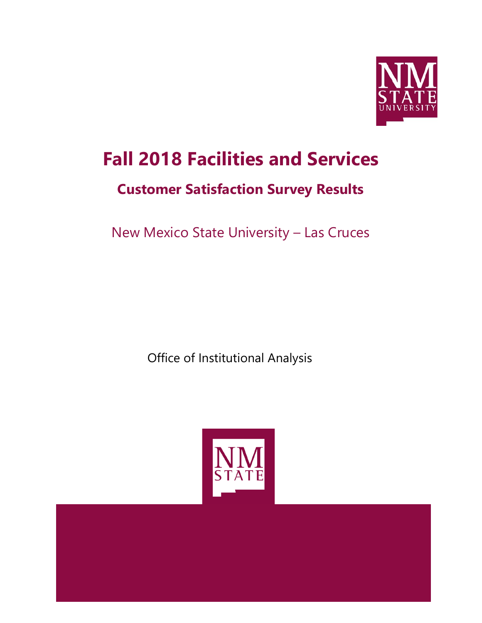

# **Fall 2018 Facilities and Services**

## **Customer Satisfaction Survey Results**

New Mexico State University – Las Cruces

Office of Institutional Analysis

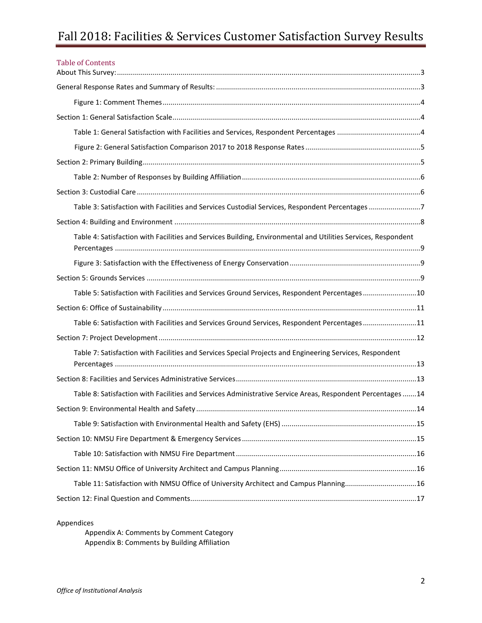### Fall 2018: Facilities & Services Customer Satisfaction Survey Results

| <b>Table of Contents</b>                                                                                      |  |
|---------------------------------------------------------------------------------------------------------------|--|
|                                                                                                               |  |
|                                                                                                               |  |
|                                                                                                               |  |
|                                                                                                               |  |
|                                                                                                               |  |
|                                                                                                               |  |
|                                                                                                               |  |
|                                                                                                               |  |
| Table 3: Satisfaction with Facilities and Services Custodial Services, Respondent Percentages 7               |  |
|                                                                                                               |  |
| Table 4: Satisfaction with Facilities and Services Building, Environmental and Utilities Services, Respondent |  |
|                                                                                                               |  |
|                                                                                                               |  |
| Table 5: Satisfaction with Facilities and Services Ground Services, Respondent Percentages10                  |  |
|                                                                                                               |  |
| Table 6: Satisfaction with Facilities and Services Ground Services, Respondent Percentages11                  |  |
|                                                                                                               |  |
| Table 7: Satisfaction with Facilities and Services Special Projects and Engineering Services, Respondent      |  |
|                                                                                                               |  |
| Table 8: Satisfaction with Facilities and Services Administrative Service Areas, Respondent Percentages 14    |  |
|                                                                                                               |  |
|                                                                                                               |  |
|                                                                                                               |  |
|                                                                                                               |  |
|                                                                                                               |  |
| Table 11: Satisfaction with NMSU Office of University Architect and Campus Planning16                         |  |
|                                                                                                               |  |

Appendices

Appendix A: Comments by Comment Category Appendix B: Comments by Building Affiliation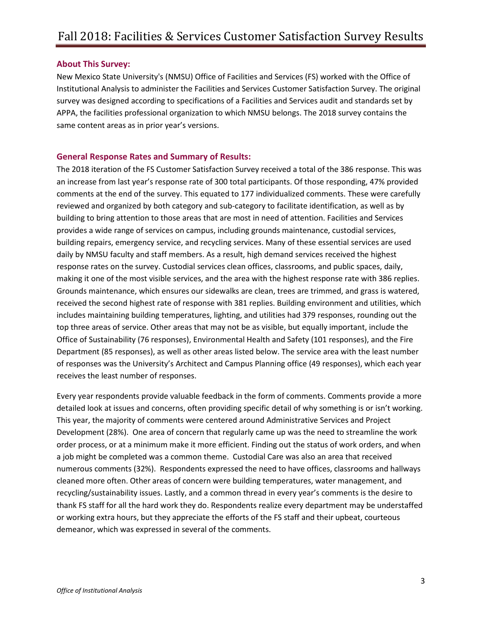#### <span id="page-2-0"></span>**About This Survey:**

New Mexico State University's (NMSU) Office of Facilities and Services (FS) worked with the Office of Institutional Analysis to administer the Facilities and Services Customer Satisfaction Survey. The original survey was designed according to specifications of a Facilities and Services audit and standards set by APPA, the facilities professional organization to which NMSU belongs. The 2018 survey contains the same content areas as in prior year's versions.

#### <span id="page-2-1"></span>**General Response Rates and Summary of Results:**

The 2018 iteration of the FS Customer Satisfaction Survey received a total of the 386 response. This was an increase from last year's response rate of 300 total participants. Of those responding, 47% provided comments at the end of the survey. This equated to 177 individualized comments. These were carefully reviewed and organized by both category and sub-category to facilitate identification, as well as by building to bring attention to those areas that are most in need of attention. Facilities and Services provides a wide range of services on campus, including grounds maintenance, custodial services, building repairs, emergency service, and recycling services. Many of these essential services are used daily by NMSU faculty and staff members. As a result, high demand services received the highest response rates on the survey. Custodial services clean offices, classrooms, and public spaces, daily, making it one of the most visible services, and the area with the highest response rate with 386 replies. Grounds maintenance, which ensures our sidewalks are clean, trees are trimmed, and grass is watered, received the second highest rate of response with 381 replies. Building environment and utilities, which includes maintaining building temperatures, lighting, and utilities had 379 responses, rounding out the top three areas of service. Other areas that may not be as visible, but equally important, include the Office of Sustainability (76 responses), Environmental Health and Safety (101 responses), and the Fire Department (85 responses), as well as other areas listed below. The service area with the least number of responses was the University's Architect and Campus Planning office (49 responses), which each year receives the least number of responses.

<span id="page-2-2"></span>Every year respondents provide valuable feedback in the form of comments. Comments provide a more detailed look at issues and concerns, often providing specific detail of why something is or isn't working. This year, the majority of comments were centered around Administrative Services and Project Development (28%). One area of concern that regularly came up was the need to streamline the work order process, or at a minimum make it more efficient. Finding out the status of work orders, and when a job might be completed was a common theme. Custodial Care was also an area that received numerous comments (32%). Respondents expressed the need to have offices, classrooms and hallways cleaned more often. Other areas of concern were building temperatures, water management, and recycling/sustainability issues. Lastly, and a common thread in every year's comments is the desire to thank FS staff for all the hard work they do. Respondents realize every department may be understaffed or working extra hours, but they appreciate the efforts of the FS staff and their upbeat, courteous demeanor, which was expressed in several of the comments.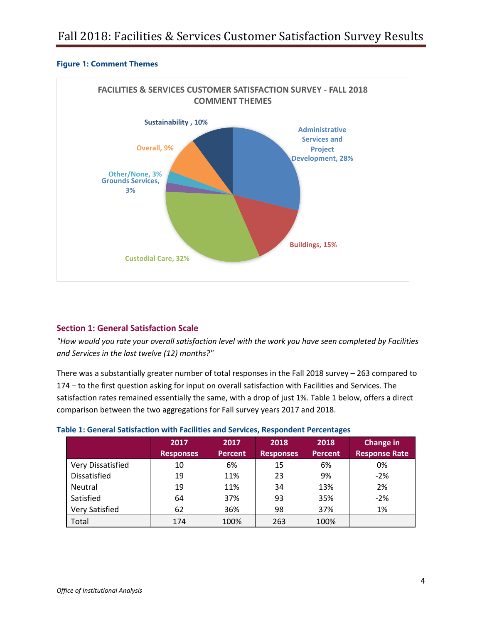#### **Figure 1: Comment Themes**



#### <span id="page-3-0"></span>**Section 1: General Satisfaction Scale**

*"How would you rate your overall satisfaction level with the work you have seen completed by Facilities and Services in the last twelve (12) months?"*

There was a substantially greater number of total responses in the Fall 2018 survey – 263 compared to 174 – to the first question asking for input on overall satisfaction with Facilities and Services. The satisfaction rates remained essentially the same, with a drop of just 1%. Table 1 below, offers a direct comparison between the two aggregations for Fall survey years 2017 and 2018.

|                     | 2017<br><b>Responses</b> | 2017<br><b>Percent</b> | 2018<br><b>Responses</b> | 2018<br><b>Percent</b> | Change in<br><b>Response Rate</b> |
|---------------------|--------------------------|------------------------|--------------------------|------------------------|-----------------------------------|
|                     |                          |                        |                          |                        |                                   |
| Very Dissatisfied   | 10                       | 6%                     | 15                       | 6%                     | 0%                                |
| <b>Dissatisfied</b> | 19                       | 11%                    | 23                       | 9%                     | $-2%$                             |
| Neutral             | 19                       | 11%                    | 34                       | 13%                    | 2%                                |
| Satisfied           | 64                       | 37%                    | 93                       | 35%                    | $-2%$                             |
| Very Satisfied      | 62                       | 36%                    | 98                       | 37%                    | 1%                                |
| Total               | 174                      | 100%                   | 263                      | 100%                   |                                   |

#### <span id="page-3-1"></span>**Table 1: General Satisfaction with Facilities and Services, Respondent Percentages**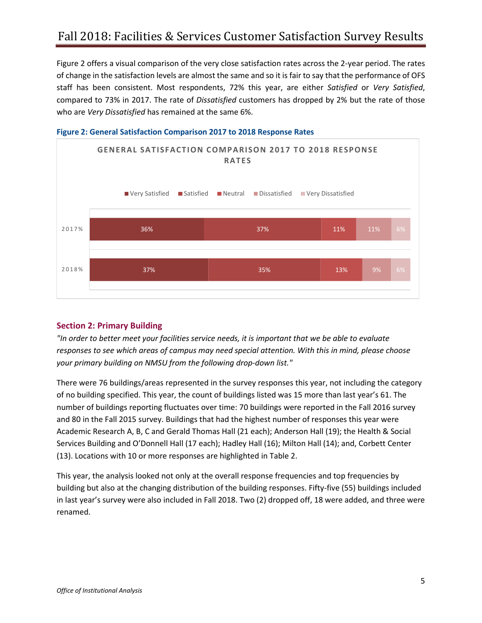Figure 2 offers a visual comparison of the very close satisfaction rates across the 2-year period. The rates of change in the satisfaction levels are almost the same and so it is fair to say that the performance of OFS staff has been consistent. Most respondents, 72% this year, are either *Satisfied* or *Very Satisfied*, compared to 73% in 2017. The rate of *Dissatisfied* customers has dropped by 2% but the rate of those who are *Very Dissatisfied* has remained at the same 6%.



<span id="page-4-0"></span>

#### <span id="page-4-1"></span>**Section 2: Primary Building**

*"In order to better meet your facilities service needs, it is important that we be able to evaluate responses to see which areas of campus may need special attention. With this in mind, please choose your primary building on NMSU from the following drop-down list."*

There were 76 buildings/areas represented in the survey responses this year, not including the category of no building specified. This year, the count of buildings listed was 15 more than last year's 61. The number of buildings reporting fluctuates over time: 70 buildings were reported in the Fall 2016 survey and 80 in the Fall 2015 survey. Buildings that had the highest number of responses this year were Academic Research A, B, C and Gerald Thomas Hall (21 each); Anderson Hall (19); the Health & Social Services Building and O'Donnell Hall (17 each); Hadley Hall (16); Milton Hall (14); and, Corbett Center (13). Locations with 10 or more responses are highlighted in Table 2.

This year, the analysis looked not only at the overall response frequencies and top frequencies by building but also at the changing distribution of the building responses. Fifty-five (55) buildings included in last year's survey were also included in Fall 2018. Two (2) dropped off, 18 were added, and three were renamed.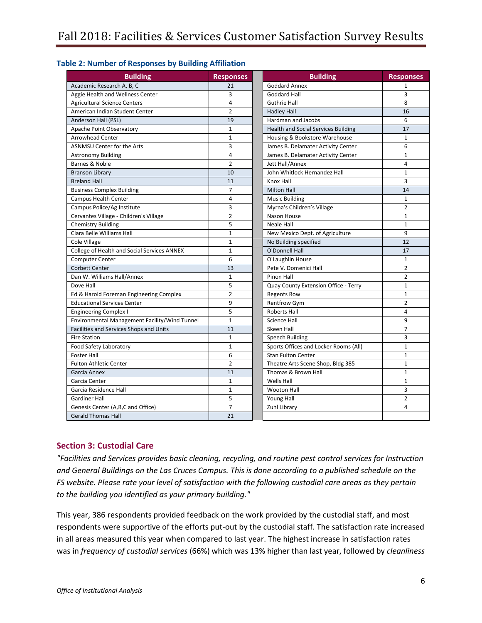<span id="page-5-0"></span>

|  |  | <b>Table 2: Number of Responses by Building Affiliation</b> |  |  |
|--|--|-------------------------------------------------------------|--|--|
|--|--|-------------------------------------------------------------|--|--|

| <b>Building</b>                               | <b>Responses</b> | <b>Building</b>                            | <b>Responses</b>        |
|-----------------------------------------------|------------------|--------------------------------------------|-------------------------|
| Academic Research A, B, C                     | 21               | <b>Goddard Annex</b>                       | $\mathbf{1}$            |
| Aggie Health and Wellness Center              | 3                | Goddard Hall                               | 3                       |
| <b>Agricultural Science Centers</b>           | $\overline{4}$   | <b>Guthrie Hall</b>                        | 8                       |
| American Indian Student Center                | $\overline{2}$   | <b>Hadley Hall</b>                         | 16                      |
| Anderson Hall (PSL)                           | 19               | Hardman and Jacobs                         | 6                       |
| Apache Point Observatory                      | $\mathbf{1}$     | <b>Health and Social Services Building</b> | 17                      |
| <b>Arrowhead Center</b>                       | $\mathbf{1}$     | Housing & Bookstore Warehouse              | $\mathbf{1}$            |
| <b>ASNMSU Center for the Arts</b>             | 3                | James B. Delamater Activity Center         | 6                       |
| <b>Astronomy Building</b>                     | 4                | James B. Delamater Activity Center         | $\mathbf{1}$            |
| Barnes & Noble                                | $\overline{2}$   | Jett Hall/Annex                            | $\overline{\mathbf{4}}$ |
| <b>Branson Library</b>                        | 10               | John Whitlock Hernandez Hall               | $\mathbf{1}$            |
| <b>Breland Hall</b>                           | 11               | Knox Hall                                  | 3                       |
| <b>Business Complex Building</b>              | $\overline{7}$   | <b>Milton Hall</b>                         | 14                      |
| <b>Campus Health Center</b>                   | $\overline{4}$   | <b>Music Building</b>                      | $\mathbf{1}$            |
| Campus Police/Ag Institute                    | 3                | Myrna's Children's Village                 | $\overline{2}$          |
| Cervantes Village - Children's Village        | $\overline{2}$   | Nason House                                | $\mathbf{1}$            |
| <b>Chemistry Building</b>                     | 5                | <b>Neale Hall</b>                          | $\mathbf{1}$            |
| Clara Belle Williams Hall                     | $\mathbf{1}$     | New Mexico Dept. of Agriculture            | 9                       |
| Cole Village                                  | $\mathbf{1}$     | No Building specified                      | 12                      |
| College of Health and Social Services ANNEX   | $\mathbf{1}$     | O'Donnell Hall                             | 17                      |
| <b>Computer Center</b>                        | 6                | O'Laughlin House                           | $\mathbf{1}$            |
| <b>Corbett Center</b>                         | 13               | Pete V. Domenici Hall                      | $\overline{2}$          |
| Dan W. Williams Hall/Annex                    | $\mathbf{1}$     | Pinon Hall                                 | $\overline{2}$          |
| Dove Hall                                     | 5                | Quay County Extension Office - Terry       | $\mathbf{1}$            |
| Ed & Harold Foreman Engineering Complex       | $\overline{2}$   | <b>Regents Row</b>                         | $\mathbf{1}$            |
| <b>Educational Services Center</b>            | 9                | <b>Rentfrow Gym</b>                        | $\overline{2}$          |
| <b>Engineering Complex I</b>                  | 5                | <b>Roberts Hall</b>                        | $\overline{\mathbf{4}}$ |
| Environmental Management Facility/Wind Tunnel | $\mathbf{1}$     | <b>Science Hall</b>                        | 9                       |
| Facilities and Services Shops and Units       | 11               | Skeen Hall                                 | $\overline{7}$          |
| <b>Fire Station</b>                           | $\mathbf{1}$     | Speech Building                            | 3                       |
| Food Safety Laboratory                        | $\mathbf{1}$     | Sports Offices and Locker Rooms (All)      | $\mathbf{1}$            |
| <b>Foster Hall</b>                            | 6                | <b>Stan Fulton Center</b>                  | $\mathbf{1}$            |
| <b>Fulton Athletic Center</b>                 | $\overline{2}$   | Theatre Arts Scene Shop, Bldg 385          | $\mathbf{1}$            |
| Garcia Annex                                  | 11               | Thomas & Brown Hall                        | $\mathbf{1}$            |
| Garcia Center                                 | $\mathbf{1}$     | Wells Hall                                 | $\mathbf{1}$            |
| Garcia Residence Hall                         | $\mathbf{1}$     | <b>Wooton Hall</b>                         | 3                       |
| <b>Gardiner Hall</b>                          | 5                | Young Hall                                 | $\overline{2}$          |
| Genesis Center (A,B,C and Office)             | 7                | Zuhl Library                               | 4                       |
| <b>Gerald Thomas Hall</b>                     | 21               |                                            |                         |

#### <span id="page-5-1"></span>**Section 3: Custodial Care**

*"Facilities and Services provides basic cleaning, recycling, and routine pest control services for Instruction and General Buildings on the Las Cruces Campus. This is done according to a published schedule on the FS website. Please rate your level of satisfaction with the following custodial care areas as they pertain to the building you identified as your primary building."*

This year, 386 respondents provided feedback on the work provided by the custodial staff, and most respondents were supportive of the efforts put-out by the custodial staff. The satisfaction rate increased in all areas measured this year when compared to last year. The highest increase in satisfaction rates was in *frequency of custodial services* (66%) which was 13% higher than last year, followed by *cleanliness*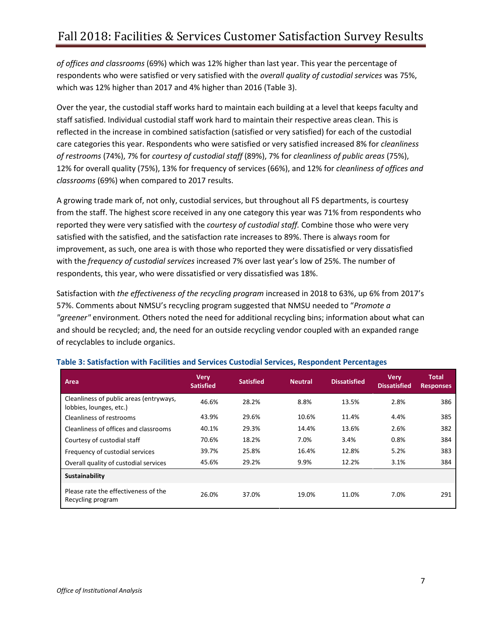*of offices and classrooms* (69%) which was 12% higher than last year. This year the percentage of respondents who were satisfied or very satisfied with the *overall quality of custodial services* was 75%, which was 12% higher than 2017 and 4% higher than 2016 (Table 3).

Over the year, the custodial staff works hard to maintain each building at a level that keeps faculty and staff satisfied. Individual custodial staff work hard to maintain their respective areas clean. This is reflected in the increase in combined satisfaction (satisfied or very satisfied) for each of the custodial care categories this year. Respondents who were satisfied or very satisfied increased 8% for *cleanliness of restrooms* (74%), 7% for *courtesy of custodial staff* (89%), 7% for *cleanliness of public areas* (75%), 12% for overall quality (75%), 13% for frequency of services (66%), and 12% for *cleanliness of offices and classrooms* (69%) when compared to 2017 results.

A growing trade mark of, not only, custodial services, but throughout all FS departments, is courtesy from the staff. The highest score received in any one category this year was 71% from respondents who reported they were very satisfied with the *courtesy of custodial staff.* Combine those who were very satisfied with the satisfied, and the satisfaction rate increases to 89%. There is always room for improvement, as such, one area is with those who reported they were dissatisfied or very dissatisfied with the *frequency of custodial services* increased 7% over last year's low of 25%. The number of respondents, this year, who were dissatisfied or very dissatisfied was 18%.

Satisfaction with *the effectiveness of the recycling program* increased in 2018 to 63%, up 6% from 2017's 57%. Comments about NMSU's recycling program suggested that NMSU needed to "*Promote a "greener"* environment*.* Others noted the need for additional recycling bins; information about what can and should be recycled; and, the need for an outside recycling vendor coupled with an expanded range of recyclables to include organics.

| Area                                                               | <b>Very</b><br><b>Satisfied</b> | <b>Satisfied</b> | <b>Neutral</b> | <b>Dissatisfied</b> | <b>Very</b><br><b>Dissatisfied</b> | <b>Total</b><br><b>Responses</b> |
|--------------------------------------------------------------------|---------------------------------|------------------|----------------|---------------------|------------------------------------|----------------------------------|
| Cleanliness of public areas (entryways,<br>lobbies, lounges, etc.) | 46.6%                           | 28.2%            | 8.8%           | 13.5%               | 2.8%                               | 386                              |
| Cleanliness of restrooms                                           | 43.9%                           | 29.6%            | 10.6%          | 11.4%               | 4.4%                               | 385                              |
| Cleanliness of offices and classrooms                              | 40.1%                           | 29.3%            | 14.4%          | 13.6%               | 2.6%                               | 382                              |
| Courtesy of custodial staff                                        | 70.6%                           | 18.2%            | 7.0%           | 3.4%                | 0.8%                               | 384                              |
| Frequency of custodial services                                    | 39.7%                           | 25.8%            | 16.4%          | 12.8%               | 5.2%                               | 383                              |
| Overall quality of custodial services                              | 45.6%                           | 29.2%            | 9.9%           | 12.2%               | 3.1%                               | 384                              |
| Sustainability                                                     |                                 |                  |                |                     |                                    |                                  |
| Please rate the effectiveness of the<br>Recycling program          | 26.0%                           | 37.0%            | 19.0%          | 11.0%               | 7.0%                               | 291                              |

#### <span id="page-6-0"></span>**Table 3: Satisfaction with Facilities and Services Custodial Services, Respondent Percentages**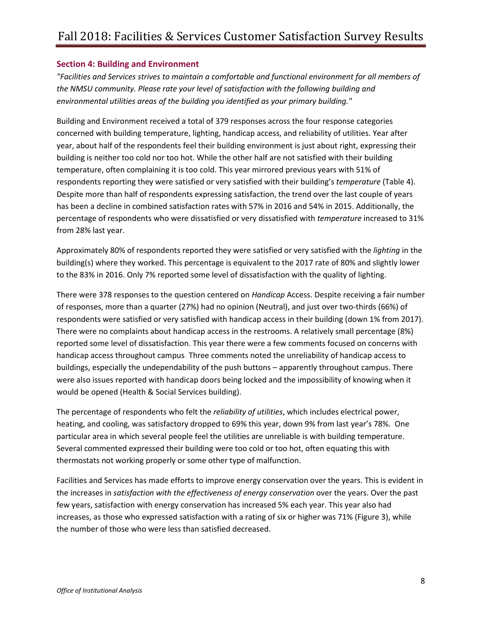#### <span id="page-7-0"></span>**Section 4: Building and Environment**

*"Facilities and Services strives to maintain a comfortable and functional environment for all members of the NMSU community. Please rate your level of satisfaction with the following building and environmental utilities areas of the building you identified as your primary building."*

Building and Environment received a total of 379 responses across the four response categories concerned with building temperature, lighting, handicap access, and reliability of utilities. Year after year, about half of the respondents feel their building environment is just about right, expressing their building is neither too cold nor too hot. While the other half are not satisfied with their building temperature, often complaining it is too cold. This year mirrored previous years with 51% of respondents reporting they were satisfied or very satisfied with their building's *temperature* (Table 4). Despite more than half of respondents expressing satisfaction, the trend over the last couple of years has been a decline in combined satisfaction rates with 57% in 2016 and 54% in 2015. Additionally, the percentage of respondents who were dissatisfied or very dissatisfied with *temperature* increased to 31% from 28% last year.

Approximately 80% of respondents reported they were satisfied or very satisfied with the *lighting* in the building(s) where they worked. This percentage is equivalent to the 2017 rate of 80% and slightly lower to the 83% in 2016. Only 7% reported some level of dissatisfaction with the quality of lighting.

There were 378 responses to the question centered on *Handicap* Access. Despite receiving a fair number of responses, more than a quarter (27%) had no opinion (Neutral), and just over two-thirds (66%) of respondents were satisfied or very satisfied with handicap access in their building (down 1% from 2017). There were no complaints about handicap access in the restrooms. A relatively small percentage (8%) reported some level of dissatisfaction. This year there were a few comments focused on concerns with handicap access throughout campus. Three comments noted the unreliability of handicap access to buildings, especially the undependability of the push buttons – apparently throughout campus. There were also issues reported with handicap doors being locked and the impossibility of knowing when it would be opened (Health & Social Services building).

The percentage of respondents who felt the *reliability of utilities*, which includes electrical power, heating, and cooling, was satisfactory dropped to 69% this year, down 9% from last year's 78%. One particular area in which several people feel the utilities are unreliable is with building temperature. Several commented expressed their building were too cold or too hot, often equating this with thermostats not working properly or some other type of malfunction.

Facilities and Services has made efforts to improve energy conservation over the years. This is evident in the increases in *satisfaction with the effectiveness of energy conservation* over the years. Over the past few years, satisfaction with energy conservation has increased 5% each year. This year also had increases, as those who expressed satisfaction with a rating of six or higher was 71% (Figure 3), while the number of those who were less than satisfied decreased.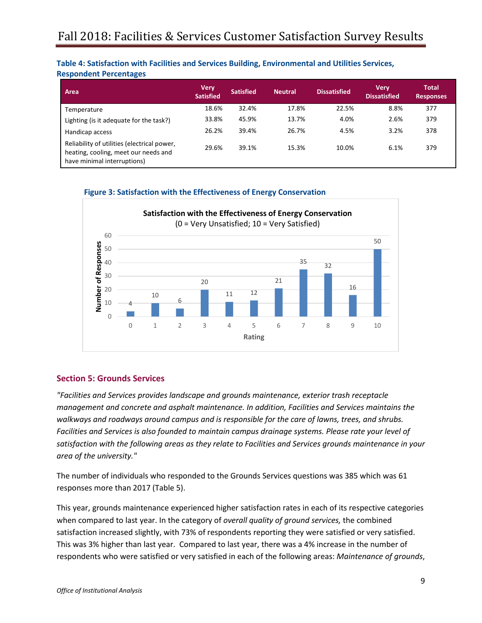#### <span id="page-8-0"></span>**Table 4: Satisfaction with Facilities and Services Building, Environmental and Utilities Services, Respondent Percentages**

| Area                                                                                                               | <b>Very</b><br><b>Satisfied</b> | <b>Satisfied</b> | <b>Neutral</b> | <b>Dissatisfied</b> | <b>Very</b><br><b>Dissatisfied</b> | <b>Total</b><br><b>Responses</b> |
|--------------------------------------------------------------------------------------------------------------------|---------------------------------|------------------|----------------|---------------------|------------------------------------|----------------------------------|
| Temperature                                                                                                        | 18.6%                           | 32.4%            | 17.8%          | 22.5%               | 8.8%                               | 377                              |
| Lighting (is it adequate for the task?)                                                                            | 33.8%                           | 45.9%            | 13.7%          | 4.0%                | 2.6%                               | 379                              |
| Handicap access                                                                                                    | 26.2%                           | 39.4%            | 26.7%          | 4.5%                | 3.2%                               | 378                              |
| Reliability of utilities (electrical power,<br>heating, cooling, meet our needs and<br>have minimal interruptions) | 29.6%                           | 39.1%            | 15.3%          | 10.0%               | 6.1%                               | 379                              |

<span id="page-8-1"></span>



#### <span id="page-8-2"></span>**Section 5: Grounds Services**

*"Facilities and Services provides landscape and grounds maintenance, exterior trash receptacle management and concrete and asphalt maintenance. In addition, Facilities and Services maintains the walkways and roadways around campus and is responsible for the care of lawns, trees, and shrubs. Facilities and Services is also founded to maintain campus drainage systems. Please rate your level of satisfaction with the following areas as they relate to Facilities and Services grounds maintenance in your area of the university."*

The number of individuals who responded to the Grounds Services questions was 385 which was 61 responses more than 2017 (Table 5).

This year, grounds maintenance experienced higher satisfaction rates in each of its respective categories when compared to last year. In the category of *overall quality of ground services,* the combined satisfaction increased slightly, with 73% of respondents reporting they were satisfied or very satisfied. This was 3% higher than last year. Compared to last year, there was a 4% increase in the number of respondents who were satisfied or very satisfied in each of the following areas: *Maintenance of grounds*,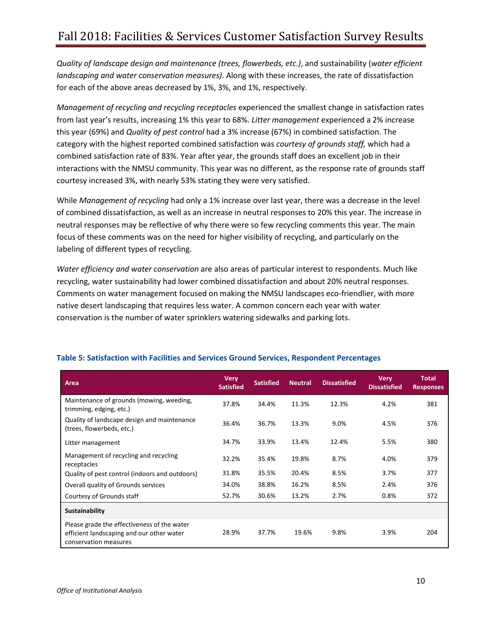*Quality of landscape design and maintenance (trees, flowerbeds, etc.)*, and sustainability (*water efficient landscaping and water conservation measures)*. Along with these increases, the rate of dissatisfaction for each of the above areas decreased by 1%, 3%, and 1%, respectively.

*Management of recycling and recycling receptacles* experienced the smallest change in satisfaction rates from last year's results, increasing 1% this year to 68%. *Litter management* experienced a 2% increase this year (69%) and *Quality of pest control* had a 3% increase (67%) in combined satisfaction. The category with the highest reported combined satisfaction was *courtesy of grounds staff,* which had a combined satisfaction rate of 83%. Year after year, the grounds staff does an excellent job in their interactions with the NMSU community. This year was no different, as the response rate of grounds staff courtesy increased 3%, with nearly 53% stating they were very satisfied.

While *Management of recycling* had only a 1% increase over last year, there was a decrease in the level of combined dissatisfaction, as well as an increase in neutral responses to 20% this year. The increase in neutral responses may be reflective of why there were so few recycling comments this year. The main focus of these comments was on the need for higher visibility of recycling, and particularly on the labeling of different types of recycling.

*Water efficiency and water conservation* are also areas of particular interest to respondents. Much like recycling, water sustainability had lower combined dissatisfaction and about 20% neutral responses. Comments on water management focused on making the NMSU landscapes eco-friendlier, with more native desert landscaping that requires less water. A common concern each year with water conservation is the number of water sprinklers watering sidewalks and parking lots.

| Area                                                                                                              | <b>Very</b><br><b>Satisfied</b> | <b>Satisfied</b> | <b>Neutral</b> | <b>Dissatisfied</b> | <b>Very</b><br><b>Dissatisfied</b> | <b>Total</b><br><b>Responses</b> |
|-------------------------------------------------------------------------------------------------------------------|---------------------------------|------------------|----------------|---------------------|------------------------------------|----------------------------------|
| Maintenance of grounds (mowing, weeding,<br>trimming, edging, etc.)                                               | 37.8%                           | 34.4%            | 11.3%          | 12.3%               | 4.2%                               | 381                              |
| Quality of landscape design and maintenance<br>(trees, flowerbeds, etc.)                                          | 36.4%                           | 36.7%            | 13.3%          | 9.0%                | 4.5%                               | 376                              |
| Litter management                                                                                                 | 34.7%                           | 33.9%            | 13.4%          | 12.4%               | 5.5%                               | 380                              |
| Management of recycling and recycling<br>receptacles                                                              | 32.2%                           | 35.4%            | 19.8%          | 8.7%                | 4.0%                               | 379                              |
| Quality of pest control (indoors and outdoors)                                                                    | 31.8%                           | 35.5%            | 20.4%          | 8.5%                | 3.7%                               | 377                              |
| Overall quality of Grounds services                                                                               | 34.0%                           | 38.8%            | 16.2%          | 8.5%                | 2.4%                               | 376                              |
| Courtesy of Grounds staff                                                                                         | 52.7%                           | 30.6%            | 13.2%          | 2.7%                | 0.8%                               | 372                              |
| Sustainability                                                                                                    |                                 |                  |                |                     |                                    |                                  |
| Please grade the effectiveness of the water<br>efficient landscaping and our other water<br>conservation measures | 28.9%                           | 37.7%            | 19.6%          | 9.8%                | 3.9%                               | 204                              |

#### <span id="page-9-0"></span>**Table 5: Satisfaction with Facilities and Services Ground Services, Respondent Percentages**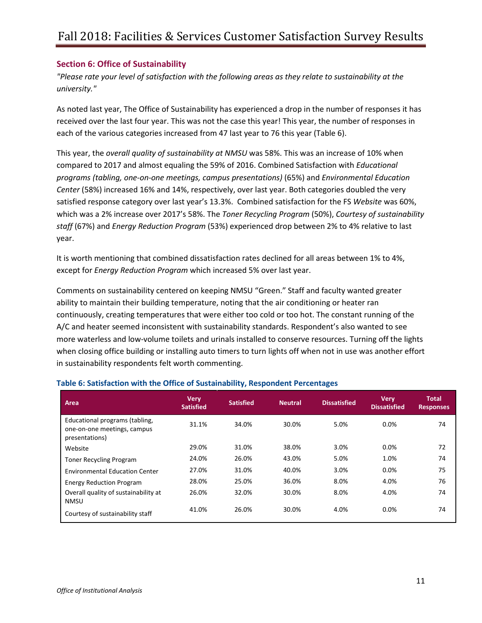#### <span id="page-10-0"></span>**Section 6: Office of Sustainability**

*"Please rate your level of satisfaction with the following areas as they relate to sustainability at the university."*

As noted last year, The Office of Sustainability has experienced a drop in the number of responses it has received over the last four year. This was not the case this year! This year, the number of responses in each of the various categories increased from 47 last year to 76 this year (Table 6).

This year, the *overall quality of sustainability at NMSU* was 58%. This was an increase of 10% when compared to 2017 and almost equaling the 59% of 2016. Combined Satisfaction with *Educational programs (tabling, one-on-one meetings, campus presentations)* (65%) and *Environmental Education Center* (58%) increased 16% and 14%, respectively, over last year. Both categories doubled the very satisfied response category over last year's 13.3%. Combined satisfaction for the FS *Website* was 60%, which was a 2% increase over 2017's 58%. The *Toner Recycling Program* (50%), *Courtesy of sustainability staff* (67%) and *Energy Reduction Program* (53%) experienced drop between 2% to 4% relative to last year.

It is worth mentioning that combined dissatisfaction rates declined for all areas between 1% to 4%, except for *Energy Reduction Program* which increased 5% over last year.

Comments on sustainability centered on keeping NMSU "Green." Staff and faculty wanted greater ability to maintain their building temperature, noting that the air conditioning or heater ran continuously, creating temperatures that were either too cold or too hot. The constant running of the A/C and heater seemed inconsistent with sustainability standards. Respondent's also wanted to see more waterless and low-volume toilets and urinals installed to conserve resources. Turning off the lights when closing office building or installing auto timers to turn lights off when not in use was another effort in sustainability respondents felt worth commenting.

| Area                                                                            | <b>Very</b><br><b>Satisfied</b> | <b>Satisfied</b> | <b>Neutral</b> | <b>Dissatisfied</b> | <b>Very</b><br><b>Dissatisfied</b> | <b>Total</b><br><b>Responses</b> |
|---------------------------------------------------------------------------------|---------------------------------|------------------|----------------|---------------------|------------------------------------|----------------------------------|
| Educational programs (tabling,<br>one-on-one meetings, campus<br>presentations) | 31.1%                           | 34.0%            | 30.0%          | 5.0%                | 0.0%                               | 74                               |
| Website                                                                         | 29.0%                           | 31.0%            | 38.0%          | 3.0%                | 0.0%                               | 72                               |
| <b>Toner Recycling Program</b>                                                  | 24.0%                           | 26.0%            | 43.0%          | 5.0%                | 1.0%                               | 74                               |
| <b>Environmental Education Center</b>                                           | 27.0%                           | 31.0%            | 40.0%          | 3.0%                | 0.0%                               | 75                               |
| <b>Energy Reduction Program</b>                                                 | 28.0%                           | 25.0%            | 36.0%          | 8.0%                | 4.0%                               | 76                               |
| Overall quality of sustainability at<br><b>NMSU</b>                             | 26.0%                           | 32.0%            | 30.0%          | 8.0%                | 4.0%                               | 74                               |
| Courtesy of sustainability staff                                                | 41.0%                           | 26.0%            | 30.0%          | 4.0%                | 0.0%                               | 74                               |

#### <span id="page-10-1"></span>**Table 6: Satisfaction with the Office of Sustainability, Respondent Percentages**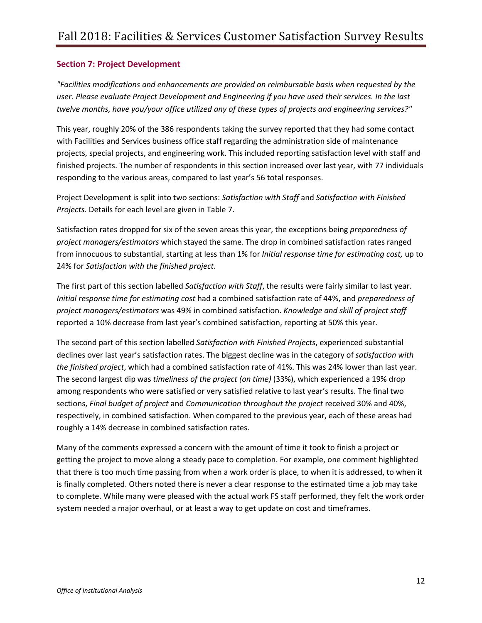#### <span id="page-11-0"></span>**Section 7: Project Development**

*"Facilities modifications and enhancements are provided on reimbursable basis when requested by the user. Please evaluate Project Development and Engineering if you have used their services. In the last twelve months, have you/your office utilized any of these types of projects and engineering services?"*

This year, roughly 20% of the 386 respondents taking the survey reported that they had some contact with Facilities and Services business office staff regarding the administration side of maintenance projects, special projects, and engineering work. This included reporting satisfaction level with staff and finished projects. The number of respondents in this section increased over last year, with 77 individuals responding to the various areas, compared to last year's 56 total responses.

Project Development is split into two sections: *Satisfaction with Staff* and *Satisfaction with Finished Projects.* Details for each level are given in Table 7.

Satisfaction rates dropped for six of the seven areas this year, the exceptions being *preparedness of project managers/estimators* which stayed the same. The drop in combined satisfaction rates ranged from innocuous to substantial, starting at less than 1% for *Initial response time for estimating cost,* up to 24% for *Satisfaction with the finished project*.

The first part of this section labelled *Satisfaction with Staff*, the results were fairly similar to last year. *Initial response time for estimating cost* had a combined satisfaction rate of 44%, and *preparedness of project managers/estimators* was 49% in combined satisfaction. *Knowledge and skill of project staff* reported a 10% decrease from last year's combined satisfaction, reporting at 50% this year.

The second part of this section labelled *Satisfaction with Finished Projects*, experienced substantial declines over last year's satisfaction rates. The biggest decline was in the category of *satisfaction with the finished project*, which had a combined satisfaction rate of 41%. This was 24% lower than last year. The second largest dip was *timeliness of the project (on time)* (33%), which experienced a 19% drop among respondents who were satisfied or very satisfied relative to last year's results. The final two sections, *Final budget of project* and *Communication throughout the project* received 30% and 40%, respectively, in combined satisfaction. When compared to the previous year, each of these areas had roughly a 14% decrease in combined satisfaction rates.

Many of the comments expressed a concern with the amount of time it took to finish a project or getting the project to move along a steady pace to completion. For example, one comment highlighted that there is too much time passing from when a work order is place, to when it is addressed, to when it is finally completed. Others noted there is never a clear response to the estimated time a job may take to complete. While many were pleased with the actual work FS staff performed, they felt the work order system needed a major overhaul, or at least a way to get update on cost and timeframes.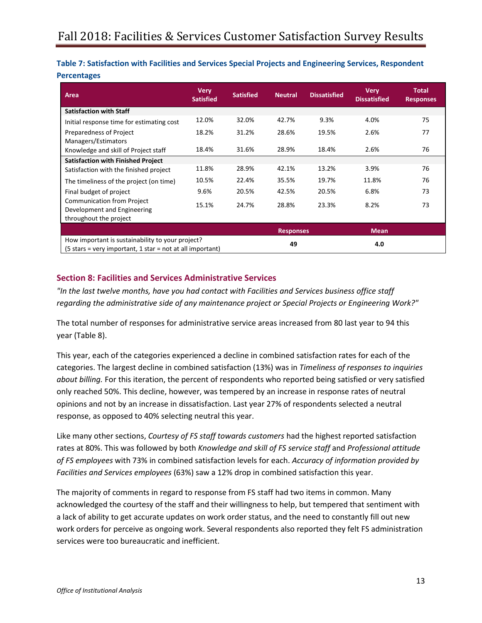<span id="page-12-0"></span>

| Table 7: Satisfaction with Facilities and Services Special Projects and Engineering Services, Respondent |  |
|----------------------------------------------------------------------------------------------------------|--|
| <b>Percentages</b>                                                                                       |  |

| Area                                                                                                          | <b>Very</b><br><b>Satisfied</b> | <b>Satisfied</b> | <b>Neutral</b>   | <b>Dissatisfied</b> | <b>Very</b><br><b>Dissatisfied</b> | <b>Total</b><br><b>Responses</b> |
|---------------------------------------------------------------------------------------------------------------|---------------------------------|------------------|------------------|---------------------|------------------------------------|----------------------------------|
| <b>Satisfaction with Staff</b>                                                                                |                                 |                  |                  |                     |                                    |                                  |
| Initial response time for estimating cost                                                                     | 12.0%                           | 32.0%            | 42.7%            | 9.3%                | 4.0%                               | 75                               |
| Preparedness of Project<br>Managers/Estimators                                                                | 18.2%                           | 31.2%            | 28.6%            | 19.5%               | 2.6%                               | 77                               |
| Knowledge and skill of Project staff                                                                          | 18.4%                           | 31.6%            | 28.9%            | 18.4%               | 2.6%                               | 76                               |
| <b>Satisfaction with Finished Project</b>                                                                     |                                 |                  |                  |                     |                                    |                                  |
| Satisfaction with the finished project                                                                        | 11.8%                           | 28.9%            | 42.1%            | 13.2%               | 3.9%                               | 76                               |
| The timeliness of the project (on time)                                                                       | 10.5%                           | 22.4%            | 35.5%            | 19.7%               | 11.8%                              | 76                               |
| Final budget of project                                                                                       | 9.6%                            | 20.5%            | 42.5%            | 20.5%               | 6.8%                               | 73                               |
| <b>Communication from Project</b><br>Development and Engineering<br>throughout the project                    | 15.1%                           | 24.7%            | 28.8%            | 23.3%               | 8.2%                               | 73                               |
|                                                                                                               |                                 |                  | <b>Responses</b> |                     | <b>Mean</b>                        |                                  |
| How important is sustainability to your project?<br>(5 stars = very important, 1 star = not at all important) |                                 | 49               |                  | 4.0                 |                                    |                                  |

#### <span id="page-12-1"></span>**Section 8: Facilities and Services Administrative Services**

*"In the last twelve months, have you had contact with Facilities and Services business office staff regarding the administrative side of any maintenance project or Special Projects or Engineering Work?"*

The total number of responses for administrative service areas increased from 80 last year to 94 this year (Table 8).

This year, each of the categories experienced a decline in combined satisfaction rates for each of the categories. The largest decline in combined satisfaction (13%) was in *Timeliness of responses to inquiries about billing.* For this iteration, the percent of respondents who reported being satisfied or very satisfied only reached 50%. This decline, however, was tempered by an increase in response rates of neutral opinions and not by an increase in dissatisfaction. Last year 27% of respondents selected a neutral response, as opposed to 40% selecting neutral this year.

Like many other sections, *Courtesy of FS staff towards customers* had the highest reported satisfaction rates at 80%. This was followed by both *Knowledge and skill of FS service staff* and *Professional attitude of FS employees* with 73% in combined satisfaction levels for each. *Accuracy of information provided by Facilities and Services employees* (63%) saw a 12% drop in combined satisfaction this year.

The majority of comments in regard to response from FS staff had two items in common. Many acknowledged the courtesy of the staff and their willingness to help, but tempered that sentiment with a lack of ability to get accurate updates on work order status, and the need to constantly fill out new work orders for perceive as ongoing work. Several respondents also reported they felt FS administration services were too bureaucratic and inefficient.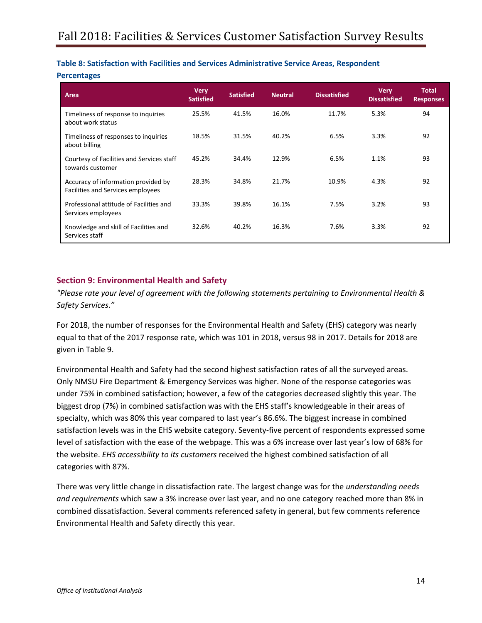#### <span id="page-13-0"></span>**Table 8: Satisfaction with Facilities and Services Administrative Service Areas, Respondent**

#### **Percentages**

| Area                                                                     | <b>Very</b><br><b>Satisfied</b> | <b>Satisfied</b> | <b>Neutral</b> | <b>Dissatisfied</b> | <b>Very</b><br><b>Dissatisfied</b> | <b>Total</b><br><b>Responses</b> |
|--------------------------------------------------------------------------|---------------------------------|------------------|----------------|---------------------|------------------------------------|----------------------------------|
| Timeliness of response to inquiries<br>about work status                 | 25.5%                           | 41.5%            | 16.0%          | 11.7%               | 5.3%                               | 94                               |
| Timeliness of responses to inquiries<br>about billing                    | 18.5%                           | 31.5%            | 40.2%          | 6.5%                | 3.3%                               | 92                               |
| Courtesy of Facilities and Services staff<br>towards customer            | 45.2%                           | 34.4%            | 12.9%          | 6.5%                | 1.1%                               | 93                               |
| Accuracy of information provided by<br>Facilities and Services employees | 28.3%                           | 34.8%            | 21.7%          | 10.9%               | 4.3%                               | 92                               |
| Professional attitude of Facilities and<br>Services employees            | 33.3%                           | 39.8%            | 16.1%          | 7.5%                | 3.2%                               | 93                               |
| Knowledge and skill of Facilities and<br>Services staff                  | 32.6%                           | 40.2%            | 16.3%          | 7.6%                | 3.3%                               | 92                               |

#### <span id="page-13-1"></span>**Section 9: Environmental Health and Safety**

*"Please rate your level of agreement with the following statements pertaining to Environmental Health & Safety Services."*

For 2018, the number of responses for the Environmental Health and Safety (EHS) category was nearly equal to that of the 2017 response rate, which was 101 in 2018, versus 98 in 2017. Details for 2018 are given in Table 9.

Environmental Health and Safety had the second highest satisfaction rates of all the surveyed areas. Only [NMSU Fire Department & Emergency Services](#page-14-1) was higher. None of the response categories was under 75% in combined satisfaction; however, a few of the categories decreased slightly this year. The biggest drop (7%) in combined satisfaction was with the EHS staff's knowledgeable in their areas of specialty, which was 80% this year compared to last year's 86.6%. The biggest increase in combined satisfaction levels was in the EHS website category. Seventy-five percent of respondents expressed some level of satisfaction with the ease of the webpage. This was a 6% increase over last year's low of 68% for the website. *EHS accessibility to its customers* received the highest combined satisfaction of all categories with 87%.

There was very little change in dissatisfaction rate. The largest change was for the *understanding needs and requirements* which saw a 3% increase over last year, and no one category reached more than 8% in combined dissatisfaction. Several comments referenced safety in general, but few comments reference Environmental Health and Safety directly this year.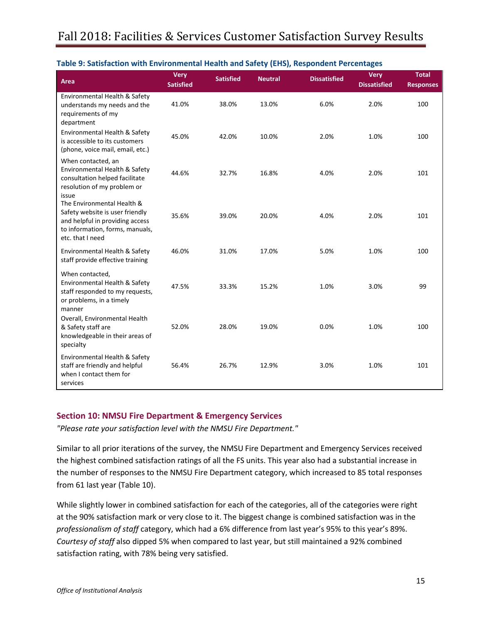| Area                                                                                                                                                    | <b>Very</b><br><b>Satisfied</b> | <b>Satisfied</b> | <b>Neutral</b> | <b>Dissatisfied</b> | <b>Very</b><br><b>Dissatisfied</b> | <b>Total</b><br><b>Responses</b> |
|---------------------------------------------------------------------------------------------------------------------------------------------------------|---------------------------------|------------------|----------------|---------------------|------------------------------------|----------------------------------|
| Environmental Health & Safety<br>understands my needs and the<br>requirements of my<br>department                                                       | 41.0%                           | 38.0%            | 13.0%          | 6.0%                | 2.0%                               | 100                              |
| Environmental Health & Safety<br>is accessible to its customers<br>(phone, voice mail, email, etc.)                                                     | 45.0%                           | 42.0%            | 10.0%          | 2.0%                | 1.0%                               | 100                              |
| When contacted, an<br>Environmental Health & Safety<br>consultation helped facilitate<br>resolution of my problem or<br>issue                           | 44.6%                           | 32.7%            | 16.8%          | 4.0%                | 2.0%                               | 101                              |
| The Environmental Health &<br>Safety website is user friendly<br>and helpful in providing access<br>to information, forms, manuals,<br>etc. that I need | 35.6%                           | 39.0%            | 20.0%          | 4.0%                | 2.0%                               | 101                              |
| Environmental Health & Safety<br>staff provide effective training                                                                                       | 46.0%                           | 31.0%            | 17.0%          | 5.0%                | 1.0%                               | 100                              |
| When contacted,<br>Environmental Health & Safety<br>staff responded to my requests,<br>or problems, in a timely<br>manner                               | 47.5%                           | 33.3%            | 15.2%          | 1.0%                | 3.0%                               | 99                               |
| Overall, Environmental Health<br>& Safety staff are<br>knowledgeable in their areas of<br>specialty                                                     | 52.0%                           | 28.0%            | 19.0%          | 0.0%                | 1.0%                               | 100                              |
| Environmental Health & Safety<br>staff are friendly and helpful<br>when I contact them for<br>services                                                  | 56.4%                           | 26.7%            | 12.9%          | 3.0%                | 1.0%                               | 101                              |

#### <span id="page-14-0"></span>**Table 9: Satisfaction with Environmental Health and Safety (EHS), Respondent Percentages**

#### <span id="page-14-1"></span>**Section 10: NMSU Fire Department & Emergency Services**

*"Please rate your satisfaction level with the NMSU Fire Department."*

Similar to all prior iterations of the survey, the NMSU Fire Department and Emergency Services received the highest combined satisfaction ratings of all the FS units. This year also had a substantial increase in the number of responses to the NMSU Fire Department category, which increased to 85 total responses from 61 last year (Table 10).

While slightly lower in combined satisfaction for each of the categories, all of the categories were right at the 90% satisfaction mark or very close to it. The biggest change is combined satisfaction was in the *professionalism of staff* category, which had a 6% difference from last year's 95% to this year's 89%. *Courtesy of staff* also dipped 5% when compared to last year, but still maintained a 92% combined satisfaction rating, with 78% being very satisfied.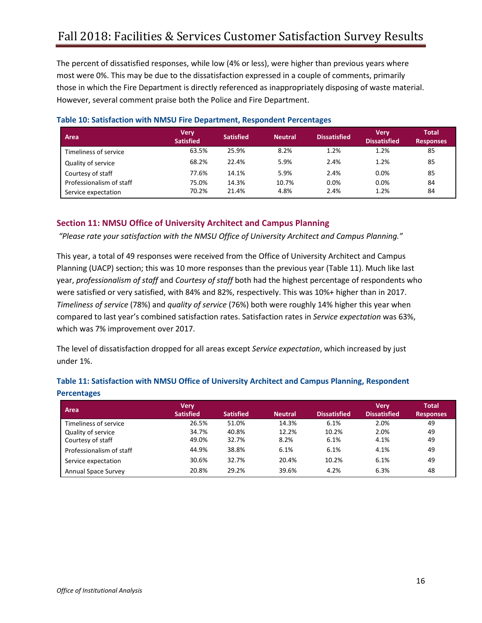The percent of dissatisfied responses, while low (4% or less), were higher than previous years where most were 0%. This may be due to the dissatisfaction expressed in a couple of comments, primarily those in which the Fire Department is directly referenced as inappropriately disposing of waste material. However, several comment praise both the Police and Fire Department.

| Area                     | <b>Very</b><br><b>Satisfied</b> | <b>Satisfied</b> | <b>Neutral</b> | <b>Dissatisfied</b> | <b>Very</b><br><b>Dissatisfied</b> | <b>Total</b><br><b>Responses</b> |
|--------------------------|---------------------------------|------------------|----------------|---------------------|------------------------------------|----------------------------------|
| Timeliness of service    | 63.5%                           | 25.9%            | 8.2%           | 1.2%                | 1.2%                               | 85                               |
| Quality of service       | 68.2%                           | 22.4%            | 5.9%           | 2.4%                | 1.2%                               | 85                               |
| Courtesy of staff        | 77.6%                           | 14.1%            | 5.9%           | 2.4%                | 0.0%                               | 85                               |
| Professionalism of staff | 75.0%                           | 14.3%            | 10.7%          | $0.0\%$             | 0.0%                               | 84                               |
| Service expectation      | 70.2%                           | 21.4%            | 4.8%           | 2.4%                | 1.2%                               | 84                               |

#### <span id="page-15-0"></span>**Table 10: Satisfaction with NMSU Fire Department, Respondent Percentages**

#### <span id="page-15-1"></span>**Section 11: NMSU Office of University Architect and Campus Planning**

*"Please rate your satisfaction with the NMSU Office of University Architect and Campus Planning."*

This year, a total of 49 responses were received from the Office of University Architect and Campus Planning (UACP) section; this was 10 more responses than the previous year (Table 11). Much like last year, *professionalism of staff* and *Courtesy of staff* both had the highest percentage of respondents who were satisfied or very satisfied, with 84% and 82%, respectively. This was 10%+ higher than in 2017. *Timeliness of service* (78%) and *quality of service* (76%) both were roughly 14% higher this year when compared to last year's combined satisfaction rates. Satisfaction rates in *Service expectation* was 63%, which was 7% improvement over 2017.

The level of dissatisfaction dropped for all areas except *Service expectation*, which increased by just under 1%.

<span id="page-15-2"></span>

| Table 11: Satisfaction with NMSU Office of University Architect and Campus Planning, Respondent |  |  |
|-------------------------------------------------------------------------------------------------|--|--|
| <b>Percentages</b>                                                                              |  |  |

<span id="page-15-3"></span>

| Area                       | <b>Very</b><br><b>Satisfied</b> | <b>Satisfied</b> | <b>Neutral</b> | <b>Dissatisfied</b> | <b>Verv</b><br><b>Dissatisfied</b> | <b>Total</b><br><b>Responses</b> |
|----------------------------|---------------------------------|------------------|----------------|---------------------|------------------------------------|----------------------------------|
| Timeliness of service      | 26.5%                           | 51.0%            | 14.3%          | 6.1%                | 2.0%                               | 49                               |
| Quality of service         | 34.7%                           | 40.8%            | 12.2%          | 10.2%               | 2.0%                               | 49                               |
| Courtesy of staff          | 49.0%                           | 32.7%            | 8.2%           | 6.1%                | 4.1%                               | 49                               |
| Professionalism of staff   | 44.9%                           | 38.8%            | 6.1%           | 6.1%                | 4.1%                               | 49                               |
| Service expectation        | 30.6%                           | 32.7%            | 20.4%          | 10.2%               | 6.1%                               | 49                               |
| <b>Annual Space Survey</b> | 20.8%                           | 29.2%            | 39.6%          | 4.2%                | 6.3%                               | 48                               |